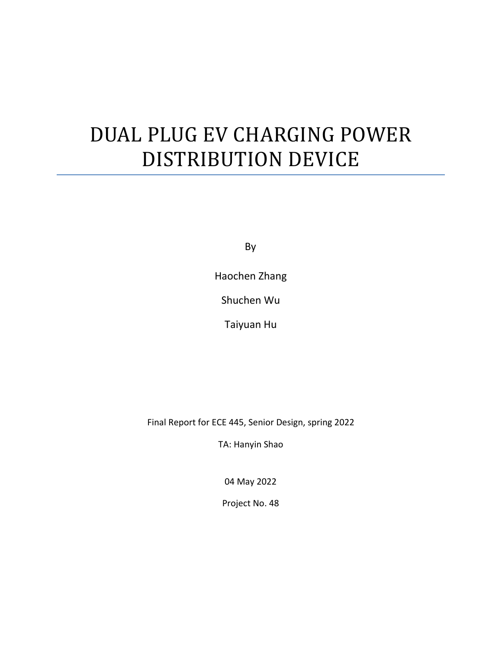# DUAL PLUG EV CHARGING POWER DISTRIBUTION DEVICE

By

Haochen Zhang

Shuchen Wu

Taiyuan Hu

Final Report for ECE 445, Senior Design, spring 2022

TA: Hanyin Shao

04 May 2022

Project No. 48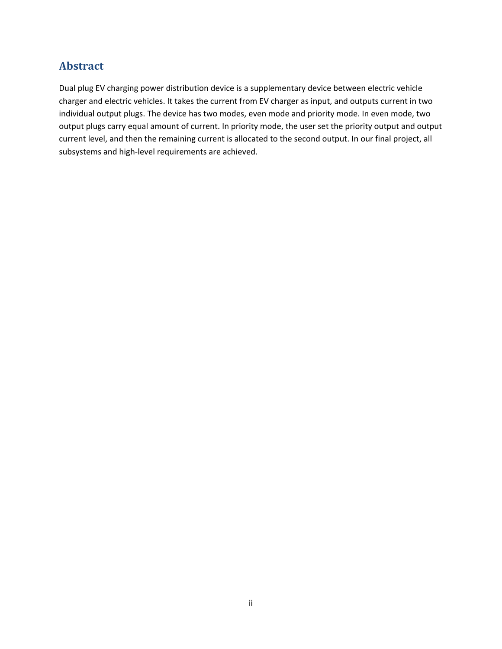# **Abstract**

Dual plug EV charging power distribution device is a supplementary device between electric vehicle charger and electric vehicles. It takes the current from EV charger as input, and outputs current in two individual output plugs. The device has two modes, even mode and priority mode. In even mode, two output plugs carry equal amount of current. In priority mode, the user set the priority output and output current level, and then the remaining current is allocated to the second output. In our final project, all subsystems and high-level requirements are achieved.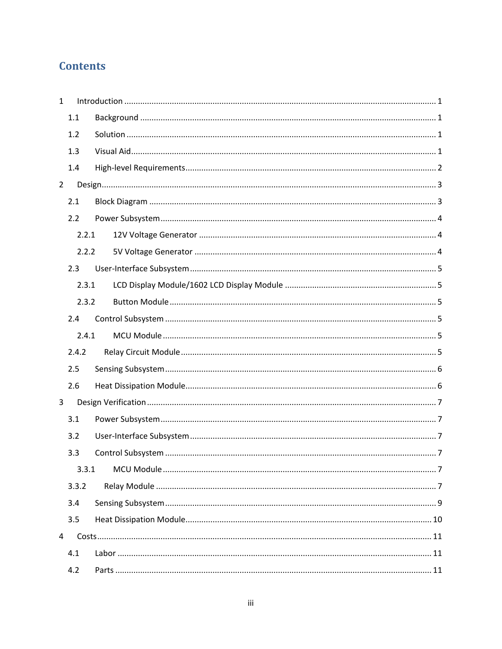# **Contents**

| $\mathbf{1}$   |       |  |
|----------------|-------|--|
|                | 1.1   |  |
|                | 1.2   |  |
|                | 1.3   |  |
|                | 1.4   |  |
| $\overline{2}$ |       |  |
|                | 2.1   |  |
|                | 2.2   |  |
|                | 2.2.1 |  |
|                | 2.2.2 |  |
|                | 2.3   |  |
|                | 2.3.1 |  |
|                | 2.3.2 |  |
|                | 2.4   |  |
|                | 2.4.1 |  |
|                | 2.4.2 |  |
|                | 2.5   |  |
|                | 2.6   |  |
| 3              |       |  |
|                | 3.1   |  |
|                | 3.2   |  |
|                | 3.3   |  |
|                | 3.3.1 |  |
|                | 3.3.2 |  |
|                | 3.4   |  |
|                | 3.5   |  |
| 4              |       |  |
|                | 4.1   |  |
|                | 4.2   |  |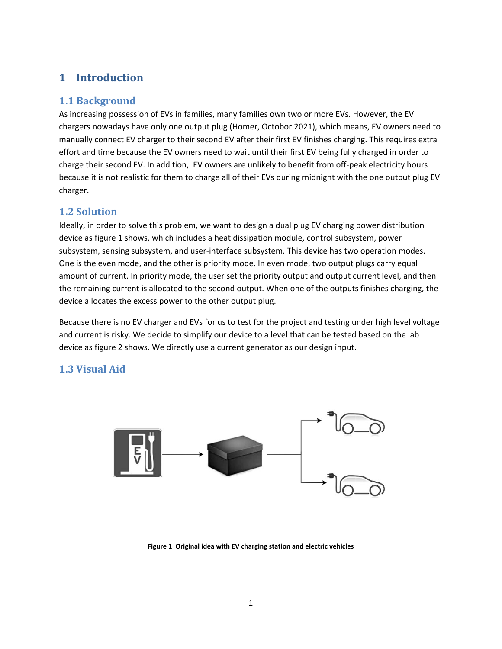# <span id="page-4-0"></span>**1 Introduction**

## <span id="page-4-1"></span>**1.1 Background**

As increasing possession of EVs in families, many families own two or more EVs. However, the EV chargers nowadays have only one output plug (Homer, Octobor 2021), which means, EV owners need to manually connect EV charger to their second EV after their first EV finishes charging. This requires extra effort and time because the EV owners need to wait until their first EV being fully charged in order to charge their second EV. In addition, EV owners are unlikely to benefit from off-peak electricity hours because it is not realistic for them to charge all of their EVs during midnight with the one output plug EV charger.

## <span id="page-4-2"></span>**1.2 Solution**

Ideally, in order to solve this problem, we want to design a dual plug EV charging power distribution device as figure 1 shows, which includes a heat dissipation module, control subsystem, power subsystem, sensing subsystem, and user-interface subsystem. This device has two operation modes. One is the even mode, and the other is priority mode. In even mode, two output plugs carry equal amount of current. In priority mode, the user set the priority output and output current level, and then the remaining current is allocated to the second output. When one of the outputs finishes charging, the device allocates the excess power to the other output plug.

Because there is no EV charger and EVs for us to test for the project and testing under high level voltage and current is risky. We decide to simplify our device to a level that can be tested based on the lab device as figure 2 shows. We directly use a current generator as our design input.

# <span id="page-4-3"></span>**1.3 Visual Aid**



**Figure 1 Original idea with EV charging station and electric vehicles**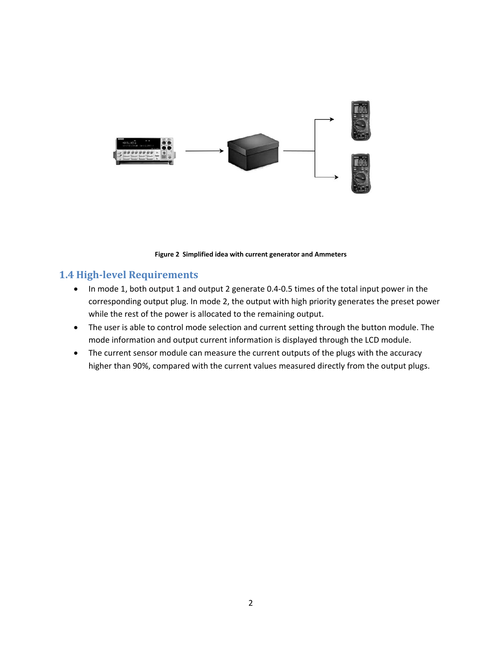

#### **Figure 2 Simplified idea with current generator and Ammeters**

#### <span id="page-5-0"></span>**1.4 High-level Requirements**

- In mode 1, both output 1 and output 2 generate 0.4-0.5 times of the total input power in the corresponding output plug. In mode 2, the output with high priority generates the preset power while the rest of the power is allocated to the remaining output.
- The user is able to control mode selection and current setting through the button module. The mode information and output current information is displayed through the LCD module.
- The current sensor module can measure the current outputs of the plugs with the accuracy higher than 90%, compared with the current values measured directly from the output plugs.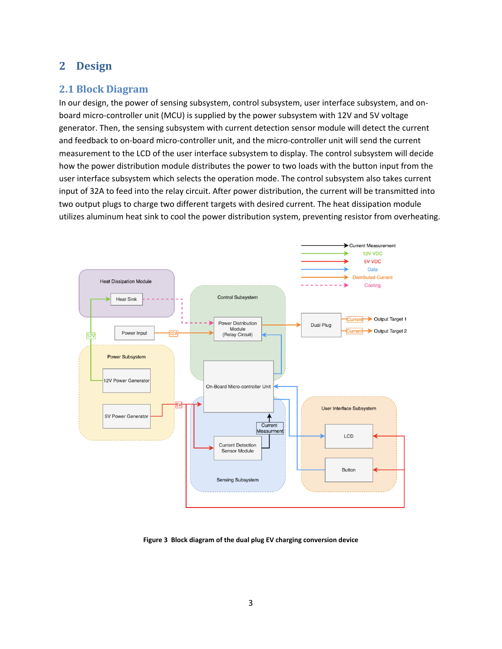# <span id="page-6-0"></span>**2 Design**

## <span id="page-6-1"></span>**2.1 Block Diagram**

In our design, the power of sensing subsystem, control subsystem, user interface subsystem, and onboard micro-controller unit (MCU) is supplied by the power subsystem with 12V and 5V voltage generator. Then, the sensing subsystem with current detection sensor module will detect the current and feedback to on-board micro-controller unit, and the micro-controller unit will send the current measurement to the LCD of the user interface subsystem to display. The control subsystem will decide how the power distribution module distributes the power to two loads with the button input from the user interface subsystem which selects the operation mode. The control subsystem also takes current input of 32A to feed into the relay circuit. After power distribution, the current will be transmitted into two output plugs to charge two different targets with desired current. The heat dissipation module utilizes aluminum heat sink to cool the power distribution system, preventing resistor from overheating.



**Figure 3 Block diagram of the dual plug EV charging conversion device**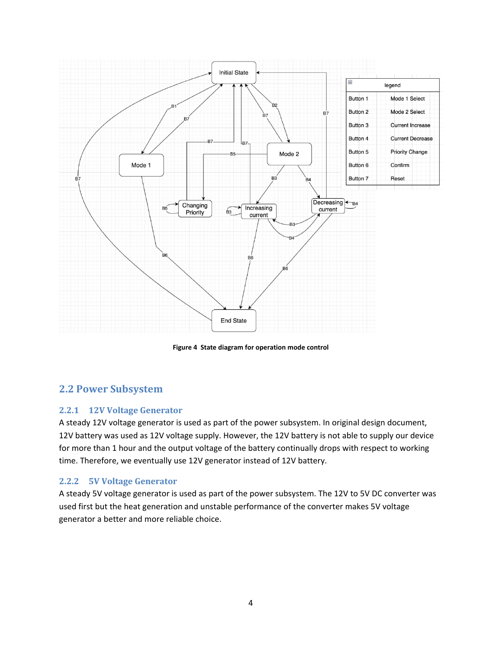

**Figure 4 State diagram for operation mode control**

## <span id="page-7-0"></span>**2.2 Power Subsystem**

#### <span id="page-7-1"></span>**2.2.1 12V Voltage Generator**

A steady 12V voltage generator is used as part of the power subsystem. In original design document, 12V battery was used as 12V voltage supply. However, the 12V battery is not able to supply our device for more than 1 hour and the output voltage of the battery continually drops with respect to working time. Therefore, we eventually use 12V generator instead of 12V battery.

#### <span id="page-7-2"></span>**2.2.2 5V Voltage Generator**

A steady 5V voltage generator is used as part of the power subsystem. The 12V to 5V DC converter was used first but the heat generation and unstable performance of the converter makes 5V voltage generator a better and more reliable choice.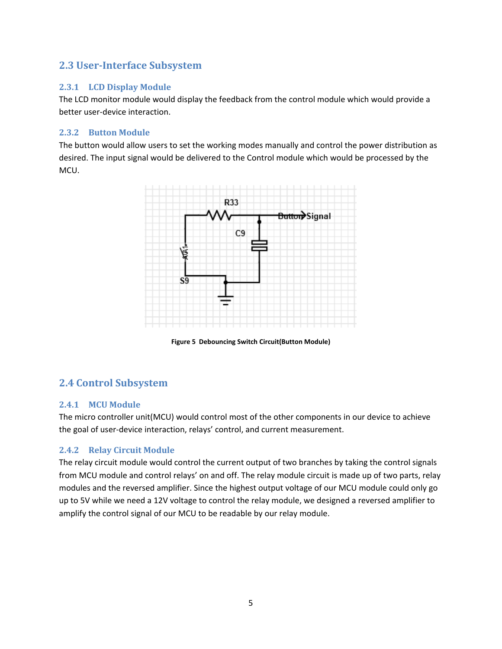#### <span id="page-8-0"></span>**2.3 User-Interface Subsystem**

#### <span id="page-8-1"></span>**2.3.1 LCD Display Module**

The LCD monitor module would display the feedback from the control module which would provide a better user-device interaction.

#### <span id="page-8-2"></span>**2.3.2 Button Module**

The button would allow users to set the working modes manually and control the power distribution as desired. The input signal would be delivered to the Control module which would be processed by the MCU.



**Figure 5 Debouncing Switch Circuit(Button Module)**

# <span id="page-8-3"></span>**2.4 Control Subsystem**

#### <span id="page-8-4"></span>**2.4.1 MCU Module**

The micro controller unit(MCU) would control most of the other components in our device to achieve the goal of user-device interaction, relays' control, and current measurement.

#### <span id="page-8-5"></span>**2.4.2 Relay Circuit Module**

The relay circuit module would control the current output of two branches by taking the control signals from MCU module and control relays' on and off. The relay module circuit is made up of two parts, relay modules and the reversed amplifier. Since the highest output voltage of our MCU module could only go up to 5V while we need a 12V voltage to control the relay module, we designed a reversed amplifier to amplify the control signal of our MCU to be readable by our relay module.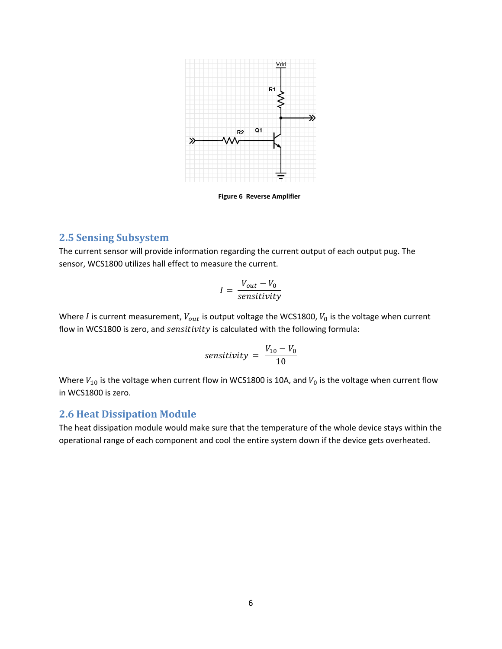

**Figure 6 Reverse Amplifier**

#### <span id="page-9-0"></span>**2.5 Sensing Subsystem**

The current sensor will provide information regarding the current output of each output pug. The sensor, WCS1800 utilizes hall effect to measure the current.

$$
I = \frac{V_{out} - V_0}{sensitivity}
$$

Where *I* is current measurement,  $V_{out}$  is output voltage the WCS1800,  $V_0$  is the voltage when current flow in WCS1800 is zero, and *sensitivity* is calculated with the following formula:

$$
sensitivity = \frac{V_{10} - V_0}{10}
$$

Where  $V_{10}$  is the voltage when current flow in WCS1800 is 10A, and  $V_0$  is the voltage when current flow in WCS1800 is zero.

#### <span id="page-9-1"></span>**2.6 Heat Dissipation Module**

The heat dissipation module would make sure that the temperature of the whole device stays within the operational range of each component and cool the entire system down if the device gets overheated.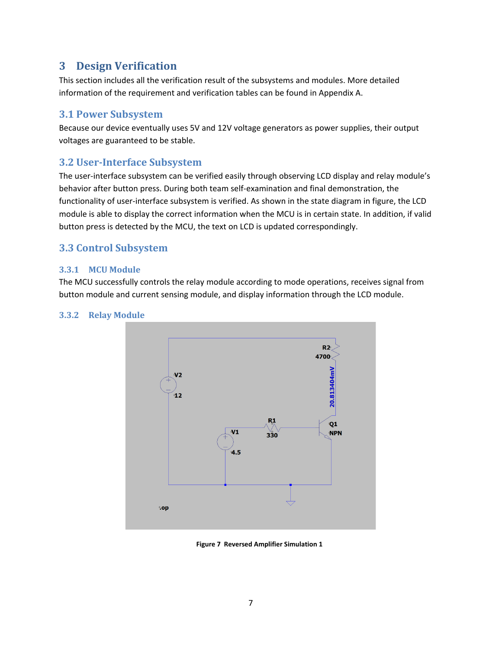# <span id="page-10-0"></span>**3 Design Verification**

This section includes all the verification result of the subsystems and modules. More detailed information of the requirement and verification tables can be found in Appendix A.

#### <span id="page-10-1"></span>**3.1 Power Subsystem**

Because our device eventually uses 5V and 12V voltage generators as power supplies, their output voltages are guaranteed to be stable.

#### <span id="page-10-2"></span>**3.2 User-Interface Subsystem**

The user-interface subsystem can be verified easily through observing LCD display and relay module's behavior after button press. During both team self-examination and final demonstration, the functionality of user-interface subsystem is verified. As shown in the state diagram in figure, the LCD module is able to display the correct information when the MCU is in certain state. In addition, if valid button press is detected by the MCU, the text on LCD is updated correspondingly.

## <span id="page-10-3"></span>**3.3 Control Subsystem**

#### <span id="page-10-4"></span>**3.3.1 MCU Module**

The MCU successfully controls the relay module according to mode operations, receives signal from button module and current sensing module, and display information through the LCD module.

#### <span id="page-10-5"></span>**3.3.2 Relay Module**



**Figure 7 Reversed Amplifier Simulation 1**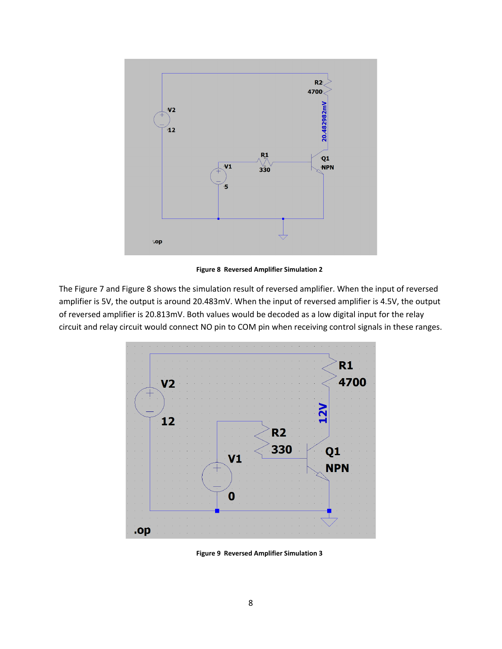

**Figure 8 Reversed Amplifier Simulation 2**

The Figure 7 and Figure 8 shows the simulation result of reversed amplifier. When the input of reversed amplifier is 5V, the output is around 20.483mV. When the input of reversed amplifier is 4.5V, the output of reversed amplifier is 20.813mV. Both values would be decoded as a low digital input for the relay circuit and relay circuit would connect NO pin to COM pin when receiving control signals in these ranges.



**Figure 9 Reversed Amplifier Simulation 3**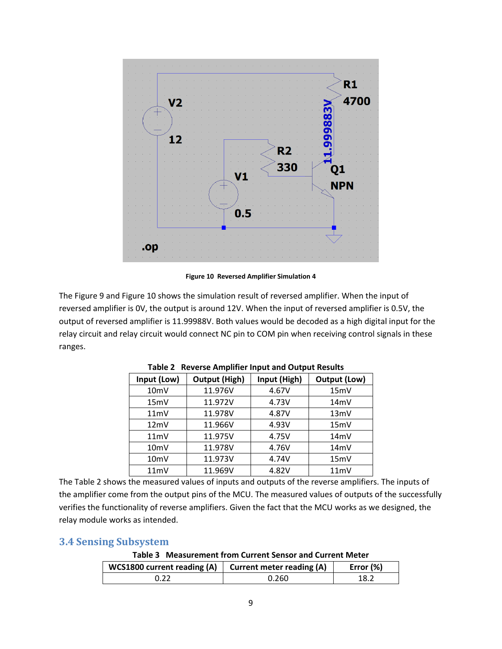

**Figure 10 Reversed Amplifier Simulation 4**

The Figure 9 and Figure 10 shows the simulation result of reversed amplifier. When the input of reversed amplifier is 0V, the output is around 12V. When the input of reversed amplifier is 0.5V, the output of reversed amplifier is 11.99988V. Both values would be decoded as a high digital input for the relay circuit and relay circuit would connect NC pin to COM pin when receiving control signals in these ranges.

| Input (Low)       | <b>Output (High)</b> | Input (High) | Output (Low) |  |  |
|-------------------|----------------------|--------------|--------------|--|--|
| 10 <sub>m</sub> V | 11.976V              | 4.67V        | 15mV         |  |  |
| 15mV              | 11.972V              | 4.73V        | 14mV         |  |  |
| 11mV              | 11.978V              | 4.87V        | 13mV         |  |  |
| 12mV              | 11.966V              | 4.93V        | 15mV         |  |  |
| 11mV              | 11.975V              | 4.75V        | 14mV         |  |  |
| 10 <sub>m</sub> V | 11.978V              | 4.76V        | 14mV         |  |  |
| 10 <sub>m</sub> V | 11.973V              | 4.74V        | 15mV         |  |  |
| 11mV              | 11.969V              | 4.82V        | 11mV         |  |  |

**Table 2 Reverse Amplifier Input and Output Results**

The Table 2 shows the measured values of inputs and outputs of the reverse amplifiers. The inputs of the amplifier come from the output pins of the MCU. The measured values of outputs of the successfully verifies the functionality of reverse amplifiers. Given the fact that the MCU works as we designed, the relay module works as intended.

## <span id="page-12-0"></span>**3.4 Sensing Subsystem**

## **Table 3 Measurement from Current Sensor and Current Meter**

| <b>WCS1800 current reading (A)</b> | <b>Current meter reading (A)</b> | Error $(\%)$ |
|------------------------------------|----------------------------------|--------------|
|                                    | 0.260                            | 18.2         |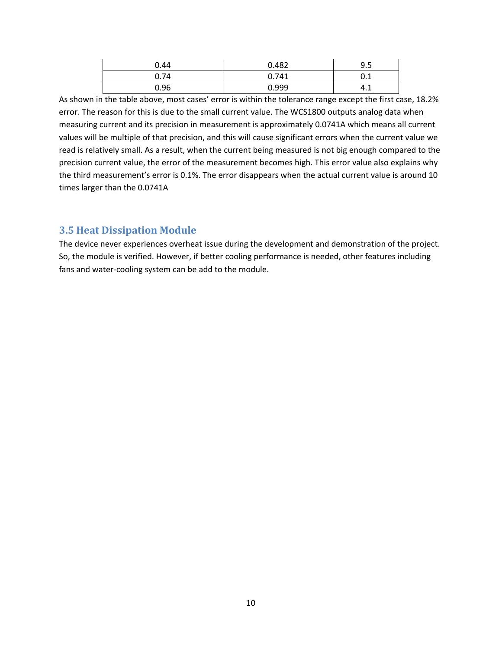| 0.44 | 0.482 | 9.5 |
|------|-------|-----|
| 0.74 | 0.741 | U.L |
| 0.96 | 0.999 | 4.1 |

As shown in the table above, most cases' error is within the tolerance range except the first case, 18.2% error. The reason for this is due to the small current value. The WCS1800 outputs analog data when measuring current and its precision in measurement is approximately 0.0741A which means all current values will be multiple of that precision, and this will cause significant errors when the current value we read is relatively small. As a result, when the current being measured is not big enough compared to the precision current value, the error of the measurement becomes high. This error value also explains why the third measurement's error is 0.1%. The error disappears when the actual current value is around 10 times larger than the 0.0741A

#### <span id="page-13-0"></span>**3.5 Heat Dissipation Module**

The device never experiences overheat issue during the development and demonstration of the project. So, the module is verified. However, if better cooling performance is needed, other features including fans and water-cooling system can be add to the module.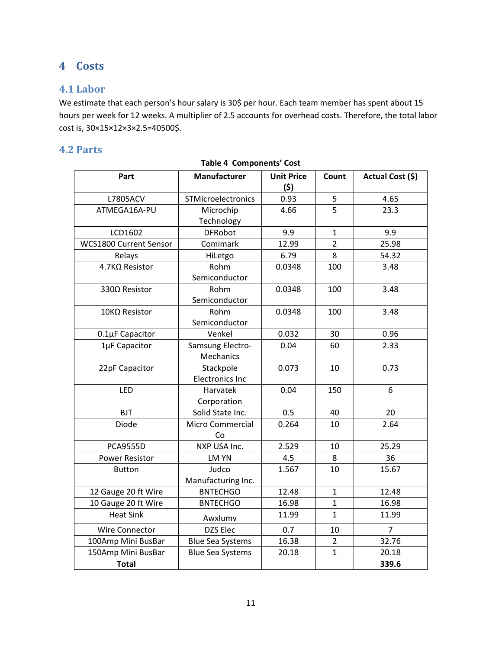# <span id="page-14-0"></span>**4 Costs**

## <span id="page-14-1"></span>**4.1 Labor**

We estimate that each person's hour salary is 30\$ per hour. Each team member has spent about 15 hours per week for 12 weeks. A multiplier of 2.5 accounts for overhead costs. Therefore, the total labor cost is, 30×15×12×3×2.5=40500\$.

## <span id="page-14-2"></span>**4.2 Parts**

| <b>Table 4 Components' Cost</b> |                                     |                          |                |                  |  |
|---------------------------------|-------------------------------------|--------------------------|----------------|------------------|--|
| Part                            | <b>Manufacturer</b>                 | <b>Unit Price</b><br>(5) | Count          | Actual Cost (\$) |  |
| L7805ACV                        | STMicroelectronics                  | 0.93                     | 5              | 4.65             |  |
| ATMEGA16A-PU                    | Microchip<br>Technology             | 4.66                     | 5              | 23.3             |  |
| LCD1602                         | <b>DFRobot</b>                      | 9.9                      | $\mathbf{1}$   | 9.9              |  |
| WCS1800 Current Sensor          | Comimark                            | 12.99                    | $\overline{2}$ | 25.98            |  |
| Relays                          | HiLetgo                             | 6.79                     | 8              | 54.32            |  |
| 4.7KΩ Resistor                  | Rohm<br>Semiconductor               | 0.0348                   | 100            | 3.48             |  |
| 330Ω Resistor                   | Rohm<br>Semiconductor               | 0.0348                   | 100            | 3.48             |  |
| $10$ ΚΩ Resistor                | Rohm<br>Semiconductor               | 0.0348                   | 100            | 3.48             |  |
| 0.1µF Capacitor                 | Venkel                              | 0.032                    | 30             | 0.96             |  |
| 1µF Capacitor                   | Samsung Electro-<br>Mechanics       | 0.04                     | 60             | 2.33             |  |
| 22pF Capacitor                  | Stackpole<br><b>Electronics Inc</b> | 0.073                    | $10\,$         | 0.73             |  |
| LED                             | Harvatek<br>Corporation             | 0.04                     | 150            | 6                |  |
| <b>BJT</b>                      | Solid State Inc.                    | 0.5                      | 40             | 20               |  |
| Diode                           | Micro Commercial<br>Co              | 0.264                    | 10             | 2.64             |  |
| <b>PCA9555D</b>                 | NXP USA Inc.                        | 2.529                    | 10             | 25.29            |  |
| <b>Power Resistor</b>           | LM YN                               | 4.5                      | 8              | 36               |  |
| <b>Button</b>                   | Judco<br>Manufacturing Inc.         | 1.567                    | 10             | 15.67            |  |
| 12 Gauge 20 ft Wire             | <b>BNTECHGO</b>                     | 12.48                    | $\mathbf{1}$   | 12.48            |  |
| 10 Gauge 20 ft Wire             | <b>BNTECHGO</b>                     | 16.98                    | $\mathbf{1}$   | 16.98            |  |
| <b>Heat Sink</b>                | Awxlumv                             | 11.99                    | $\mathbf{1}$   | 11.99            |  |
| Wire Connector                  | DZS Elec                            | 0.7                      | 10             | $\overline{7}$   |  |
| 100Amp Mini BusBar              | <b>Blue Sea Systems</b>             | 16.38                    | $\overline{2}$ | 32.76            |  |
| 150Amp Mini BusBar              | <b>Blue Sea Systems</b>             | 20.18                    | $\mathbf{1}$   | 20.18            |  |
| <b>Total</b>                    |                                     |                          |                | 339.6            |  |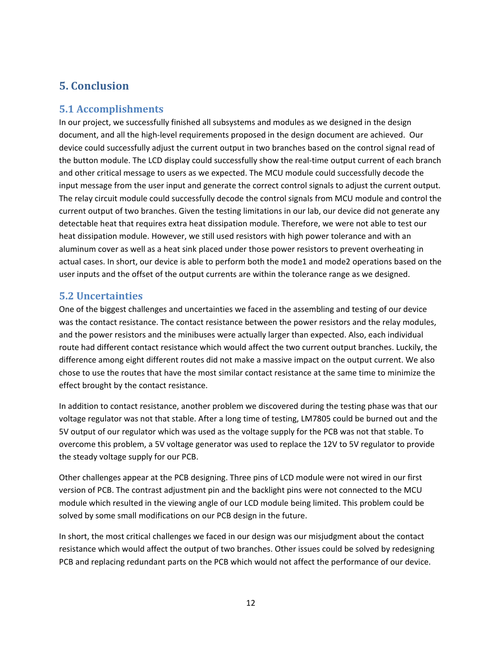## <span id="page-15-0"></span>**5. Conclusion**

#### <span id="page-15-1"></span>**5.1 Accomplishments**

In our project, we successfully finished all subsystems and modules as we designed in the design document, and all the high-level requirements proposed in the design document are achieved. Our device could successfully adjust the current output in two branches based on the control signal read of the button module. The LCD display could successfully show the real-time output current of each branch and other critical message to users as we expected. The MCU module could successfully decode the input message from the user input and generate the correct control signals to adjust the current output. The relay circuit module could successfully decode the control signals from MCU module and control the current output of two branches. Given the testing limitations in our lab, our device did not generate any detectable heat that requires extra heat dissipation module. Therefore, we were not able to test our heat dissipation module. However, we still used resistors with high power tolerance and with an aluminum cover as well as a heat sink placed under those power resistors to prevent overheating in actual cases. In short, our device is able to perform both the mode1 and mode2 operations based on the user inputs and the offset of the output currents are within the tolerance range as we designed.

#### <span id="page-15-2"></span>**5.2 Uncertainties**

One of the biggest challenges and uncertainties we faced in the assembling and testing of our device was the contact resistance. The contact resistance between the power resistors and the relay modules, and the power resistors and the minibuses were actually larger than expected. Also, each individual route had different contact resistance which would affect the two current output branches. Luckily, the difference among eight different routes did not make a massive impact on the output current. We also chose to use the routes that have the most similar contact resistance at the same time to minimize the effect brought by the contact resistance.

In addition to contact resistance, another problem we discovered during the testing phase was that our voltage regulator was not that stable. After a long time of testing, LM7805 could be burned out and the 5V output of our regulator which was used as the voltage supply for the PCB was not that stable. To overcome this problem, a 5V voltage generator was used to replace the 12V to 5V regulator to provide the steady voltage supply for our PCB.

Other challenges appear at the PCB designing. Three pins of LCD module were not wired in our first version of PCB. The contrast adjustment pin and the backlight pins were not connected to the MCU module which resulted in the viewing angle of our LCD module being limited. This problem could be solved by some small modifications on our PCB design in the future.

In short, the most critical challenges we faced in our design was our misjudgment about the contact resistance which would affect the output of two branches. Other issues could be solved by redesigning PCB and replacing redundant parts on the PCB which would not affect the performance of our device.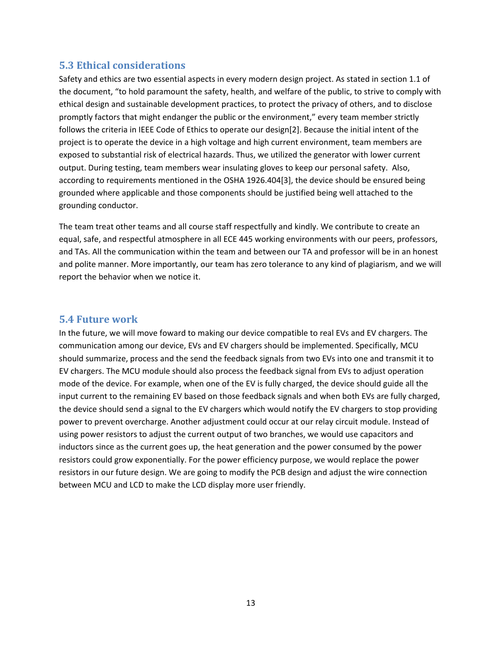#### <span id="page-16-0"></span>**5.3 Ethical considerations**

Safety and ethics are two essential aspects in every modern design project. As stated in section 1.1 of the document, "to hold paramount the safety, health, and welfare of the public, to strive to comply with ethical design and sustainable development practices, to protect the privacy of others, and to disclose promptly factors that might endanger the public or the environment," every team member strictly follows the criteria in IEEE Code of Ethics to operate our design[2]. Because the initial intent of the project is to operate the device in a high voltage and high current environment, team members are exposed to substantial risk of electrical hazards. Thus, we utilized the generator with lower current output. During testing, team members wear insulating gloves to keep our personal safety.  Also, according to requirements mentioned in the OSHA 1926.404[3], the device should be ensured being grounded where applicable and those components should be justified being well attached to the grounding conductor.

The team treat other teams and all course staff respectfully and kindly. We contribute to create an equal, safe, and respectful atmosphere in all ECE 445 working environments with our peers, professors, and TAs. All the communication within the team and between our TA and professor will be in an honest and polite manner. More importantly, our team has zero tolerance to any kind of plagiarism, and we will report the behavior when we notice it.

#### <span id="page-16-1"></span>**5.4 Future work**

In the future, we will move foward to making our device compatible to real EVs and EV chargers. The communication among our device, EVs and EV chargers should be implemented. Specifically, MCU should summarize, process and the send the feedback signals from two EVs into one and transmit it to EV chargers. The MCU module should also process the feedback signal from EVs to adjust operation mode of the device. For example, when one of the EV is fully charged, the device should guide all the input current to the remaining EV based on those feedback signals and when both EVs are fully charged, the device should send a signal to the EV chargers which would notify the EV chargers to stop providing power to prevent overcharge. Another adjustment could occur at our relay circuit module. Instead of using power resistors to adjust the current output of two branches, we would use capacitors and inductors since as the current goes up, the heat generation and the power consumed by the power resistors could grow exponentially. For the power efficiency purpose, we would replace the power resistors in our future design. We are going to modify the PCB design and adjust the wire connection between MCU and LCD to make the LCD display more user friendly.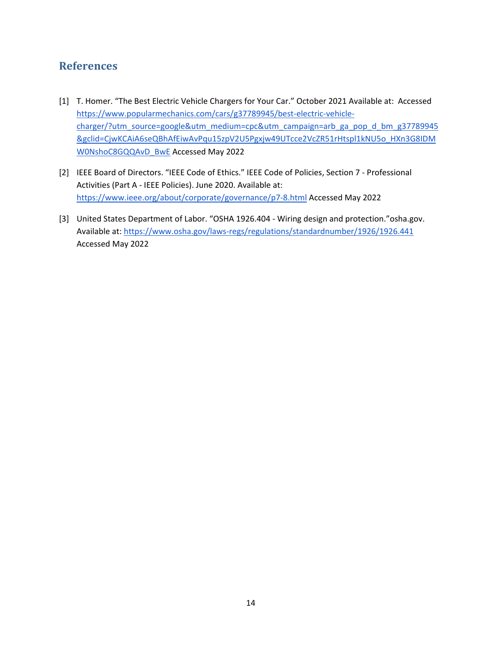## <span id="page-17-0"></span>**References**

- [1] T. Homer. "The Best Electric Vehicle Chargers for Your Car." October 2021 Available at[:](https://www.popularmechanics.com/cars/g37789945/best-electric-vehicle-charger/?utm_source=google&utm_medium=cpc&utm_campaign=arb_ga_pop_d_bm_g37789945&gclid=CjwKCAiA6seQBhAfEiwAvPqu15zpV2U5Pgxjw49UTcce2VcZR51rHtspl1kNU5o_HXn3G8IDMW0NshoC8GQQAvD_BwE) Accessed [https://www.popularmechanics.com/cars/g37789945/best-electric-vehicle](https://www.popularmechanics.com/cars/g37789945/best-electric-vehicle-charger/?utm_source=google&utm_medium=cpc&utm_campaign=arb_ga_pop_d_bm_g37789945&gclid=CjwKCAiA6seQBhAfEiwAvPqu15zpV2U5Pgxjw49UTcce2VcZR51rHtspl1kNU5o_HXn3G8IDMW0NshoC8GQQAvD_BwE)[charger/?utm\\_source=google&utm\\_medium=cpc&utm\\_campaign=arb\\_ga\\_pop\\_d\\_bm\\_g37789945](https://www.popularmechanics.com/cars/g37789945/best-electric-vehicle-charger/?utm_source=google&utm_medium=cpc&utm_campaign=arb_ga_pop_d_bm_g37789945&gclid=CjwKCAiA6seQBhAfEiwAvPqu15zpV2U5Pgxjw49UTcce2VcZR51rHtspl1kNU5o_HXn3G8IDMW0NshoC8GQQAvD_BwE) [&gclid=CjwKCAiA6seQBhAfEiwAvPqu15zpV2U5Pgxjw49UTcce2VcZR51rHtspl1kNU5o\\_HXn3G8IDM](https://www.popularmechanics.com/cars/g37789945/best-electric-vehicle-charger/?utm_source=google&utm_medium=cpc&utm_campaign=arb_ga_pop_d_bm_g37789945&gclid=CjwKCAiA6seQBhAfEiwAvPqu15zpV2U5Pgxjw49UTcce2VcZR51rHtspl1kNU5o_HXn3G8IDMW0NshoC8GQQAvD_BwE) [W0NshoC8GQQAvD\\_BwE](https://www.popularmechanics.com/cars/g37789945/best-electric-vehicle-charger/?utm_source=google&utm_medium=cpc&utm_campaign=arb_ga_pop_d_bm_g37789945&gclid=CjwKCAiA6seQBhAfEiwAvPqu15zpV2U5Pgxjw49UTcce2VcZR51rHtspl1kNU5o_HXn3G8IDMW0NshoC8GQQAvD_BwE) Accessed May 2022
- [2] IEEE Board of Directors. "IEEE Code of Ethics." IEEE Code of Policies, Section 7 Professional Activities (Part A - IEEE Policies). June 2020. Available at: [https://www.ieee.org/about/corporate/governance/p7-8.html A](https://www.ieee.org/about/corporate/governance/p7-8.html)ccessed May 2022
- [3] United States Department of Labor. "OSHA 1926.404 Wiring design and protection."osha.gov. Available at:<https://www.osha.gov/laws-regs/regulations/standardnumber/1926/1926.441> Accessed May 2022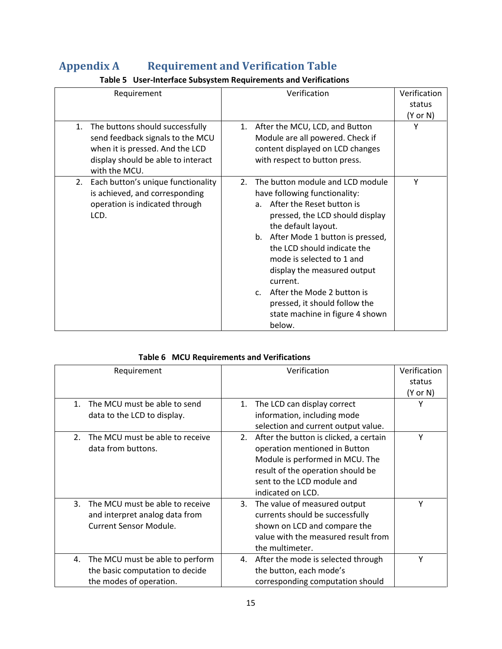# <span id="page-18-0"></span>**Appendix A Requirement and Verification Table**

| Requirement                                                                                                                                                         | Verification                                                                                                                                                                                                                                                                                                                                                                                                                                                | Verification<br>status<br>(Y or N) |
|---------------------------------------------------------------------------------------------------------------------------------------------------------------------|-------------------------------------------------------------------------------------------------------------------------------------------------------------------------------------------------------------------------------------------------------------------------------------------------------------------------------------------------------------------------------------------------------------------------------------------------------------|------------------------------------|
| The buttons should successfully<br>1.<br>send feedback signals to the MCU<br>when it is pressed. And the LCD<br>display should be able to interact<br>with the MCU. | After the MCU, LCD, and Button<br>1.<br>Module are all powered. Check if<br>content displayed on LCD changes<br>with respect to button press.                                                                                                                                                                                                                                                                                                               | Υ                                  |
| Each button's unique functionality<br>2.<br>is achieved, and corresponding<br>operation is indicated through<br>LCD.                                                | The button module and LCD module<br>2.<br>have following functionality:<br>After the Reset button is<br>a <sub>z</sub><br>pressed, the LCD should display<br>the default layout.<br>After Mode 1 button is pressed,<br>b.<br>the LCD should indicate the<br>mode is selected to 1 and<br>display the measured output<br>current.<br>After the Mode 2 button is<br>$C_{\cdot}$<br>pressed, it should follow the<br>state machine in figure 4 shown<br>below. | Y                                  |

## **Table 5 User-Interface Subsystem Requirements and Verifications**

#### **Table 6 MCU Requirements and Verifications**

| Requirement                                    | Verification                                 | Verification |
|------------------------------------------------|----------------------------------------------|--------------|
|                                                |                                              | status       |
|                                                |                                              | (Y or N)     |
| The MCU must be able to send<br>$\mathbf{1}$ . | The LCD can display correct<br>1.            | Υ            |
| data to the LCD to display.                    | information, including mode                  |              |
|                                                | selection and current output value.          |              |
| The MCU must be able to receive<br>2.          | After the button is clicked, a certain<br>2. | Υ            |
| data from buttons.                             | operation mentioned in Button                |              |
|                                                | Module is performed in MCU. The              |              |
|                                                | result of the operation should be            |              |
|                                                | sent to the LCD module and                   |              |
|                                                | indicated on LCD.                            |              |
| The MCU must be able to receive<br>3.          | The value of measured output<br>3.           | Υ            |
| and interpret analog data from                 | currents should be successfully              |              |
| <b>Current Sensor Module.</b>                  | shown on LCD and compare the                 |              |
|                                                | value with the measured result from          |              |
|                                                | the multimeter.                              |              |
| The MCU must be able to perform<br>4.          | 4. After the mode is selected through        | Υ            |
| the basic computation to decide                | the button, each mode's                      |              |
| the modes of operation.                        | corresponding computation should             |              |